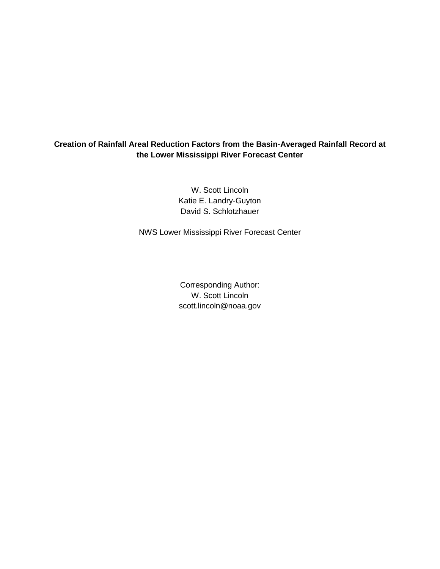# **Creation of Rainfall Areal Reduction Factors from the Basin-Averaged Rainfall Record at the Lower Mississippi River Forecast Center**

W. Scott Lincoln Katie E. Landry-Guyton David S. Schlotzhauer

NWS Lower Mississippi River Forecast Center

Corresponding Author: W. Scott Lincoln scott.lincoln@noaa.gov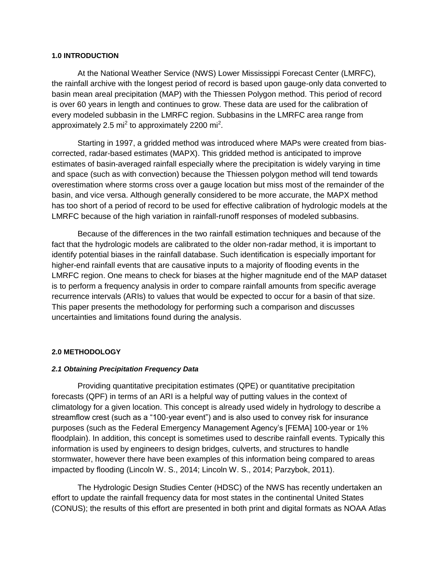## **1.0 INTRODUCTION**

At the National Weather Service (NWS) Lower Mississippi Forecast Center (LMRFC), the rainfall archive with the longest period of record is based upon gauge-only data converted to basin mean areal precipitation (MAP) with the Thiessen Polygon method. This period of record is over 60 years in length and continues to grow. These data are used for the calibration of every modeled subbasin in the LMRFC region. Subbasins in the LMRFC area range from approximately 2.5 mi<sup>2</sup> to approximately 2200 mi<sup>2</sup>.

Starting in 1997, a gridded method was introduced where MAPs were created from biascorrected, radar-based estimates (MAPX). This gridded method is anticipated to improve estimates of basin-averaged rainfall especially where the precipitation is widely varying in time and space (such as with convection) because the Thiessen polygon method will tend towards overestimation where storms cross over a gauge location but miss most of the remainder of the basin, and vice versa. Although generally considered to be more accurate, the MAPX method has too short of a period of record to be used for effective calibration of hydrologic models at the LMRFC because of the high variation in rainfall-runoff responses of modeled subbasins.

Because of the differences in the two rainfall estimation techniques and because of the fact that the hydrologic models are calibrated to the older non-radar method, it is important to identify potential biases in the rainfall database. Such identification is especially important for higher-end rainfall events that are causative inputs to a majority of flooding events in the LMRFC region. One means to check for biases at the higher magnitude end of the MAP dataset is to perform a frequency analysis in order to compare rainfall amounts from specific average recurrence intervals (ARIs) to values that would be expected to occur for a basin of that size. This paper presents the methodology for performing such a comparison and discusses uncertainties and limitations found during the analysis.

## **2.0 METHODOLOGY**

#### *2.1 Obtaining Precipitation Frequency Data*

Providing quantitative precipitation estimates (QPE) or quantitative precipitation forecasts (QPF) in terms of an ARI is a helpful way of putting values in the context of climatology for a given location. This concept is already used widely in hydrology to describe a streamflow crest (such as a "100-year event") and is also used to convey risk for insurance purposes (such as the Federal Emergency Management Agency's [FEMA] 100-year or 1% floodplain). In addition, this concept is sometimes used to describe rainfall events. Typically this information is used by engineers to design bridges, culverts, and structures to handle stormwater, however there have been examples of this information being compared to areas impacted by flooding (Lincoln W. S., 2014; Lincoln W. S., 2014; Parzybok, 2011).

The Hydrologic Design Studies Center (HDSC) of the NWS has recently undertaken an effort to update the rainfall frequency data for most states in the continental United States (CONUS); the results of this effort are presented in both print and digital formats as NOAA Atlas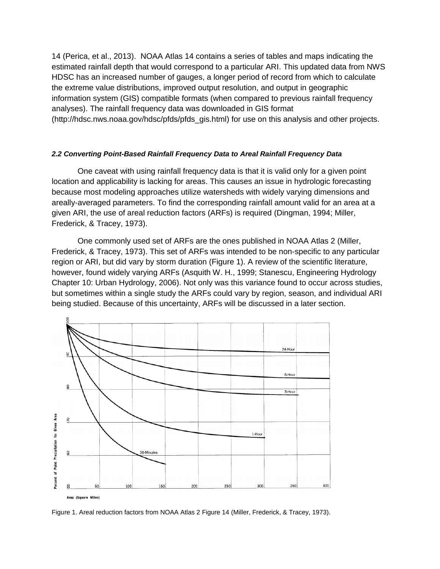14 (Perica, et al., 2013). NOAA Atlas 14 contains a series of tables and maps indicating the estimated rainfall depth that would correspond to a particular ARI. This updated data from NWS HDSC has an increased number of gauges, a longer period of record from which to calculate the extreme value distributions, improved output resolution, and output in geographic information system (GIS) compatible formats (when compared to previous rainfall frequency analyses). The rainfall frequency data was downloaded in GIS format (http://hdsc.nws.noaa.gov/hdsc/pfds/pfds\_gis.html) for use on this analysis and other projects.

## *2.2 Converting Point-Based Rainfall Frequency Data to Areal Rainfall Frequency Data*

One caveat with using rainfall frequency data is that it is valid only for a given point location and applicability is lacking for areas. This causes an issue in hydrologic forecasting because most modeling approaches utilize watersheds with widely varying dimensions and areally-averaged parameters. To find the corresponding rainfall amount valid for an area at a given ARI, the use of areal reduction factors (ARFs) is required (Dingman, 1994; Miller, Frederick, & Tracey, 1973).

One commonly used set of ARFs are the ones published in NOAA Atlas 2 (Miller, Frederick, & Tracey, 1973). This set of ARFs was intended to be non-specific to any particular region or ARI, but did vary by storm duration [\(Figure 1\)](#page-2-0). A review of the scientific literature, however, found widely varying ARFs (Asquith W. H., 1999; Stanescu, Engineering Hydrology Chapter 10: Urban Hydrology, 2006). Not only was this variance found to occur across studies, but sometimes within a single study the ARFs could vary by region, season, and individual ARI being studied. Because of this uncertainty, ARFs will be discussed in a later section.



<span id="page-2-0"></span>Figure 1. Areal reduction factors from NOAA Atlas 2 Figure 14 (Miller, Frederick, & Tracey, 1973).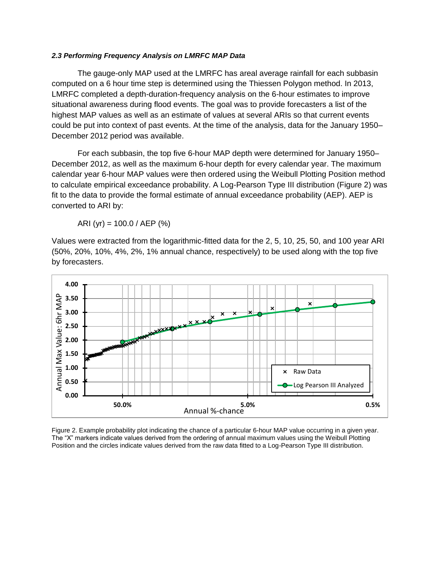#### *2.3 Performing Frequency Analysis on LMRFC MAP Data*

The gauge-only MAP used at the LMRFC has areal average rainfall for each subbasin computed on a 6 hour time step is determined using the Thiessen Polygon method. In 2013, LMRFC completed a depth-duration-frequency analysis on the 6-hour estimates to improve situational awareness during flood events. The goal was to provide forecasters a list of the highest MAP values as well as an estimate of values at several ARIs so that current events could be put into context of past events. At the time of the analysis, data for the January 1950– December 2012 period was available.

For each subbasin, the top five 6-hour MAP depth were determined for January 1950– December 2012, as well as the maximum 6-hour depth for every calendar year. The maximum calendar year 6-hour MAP values were then ordered using the Weibull Plotting Position method to calculate empirical exceedance probability. A Log-Pearson Type III distribution [\(Figure 2\)](#page-3-0) was fit to the data to provide the formal estimate of annual exceedance probability (AEP). AEP is converted to ARI by:

ARI (yr) =  $100.0$  / AEP (%)

Values were extracted from the logarithmic-fitted data for the 2, 5, 10, 25, 50, and 100 year ARI (50%, 20%, 10%, 4%, 2%, 1% annual chance, respectively) to be used along with the top five by forecasters.



<span id="page-3-0"></span>Figure 2. Example probability plot indicating the chance of a particular 6-hour MAP value occurring in a given year. The "X" markers indicate values derived from the ordering of annual maximum values using the Weibull Plotting Position and the circles indicate values derived from the raw data fitted to a Log-Pearson Type III distribution.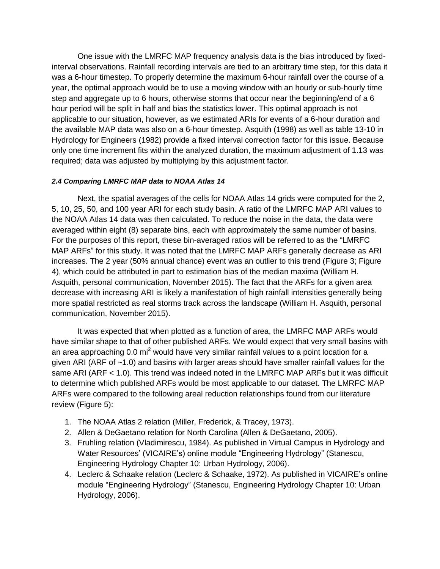One issue with the LMRFC MAP frequency analysis data is the bias introduced by fixedinterval observations. Rainfall recording intervals are tied to an arbitrary time step, for this data it was a 6-hour timestep. To properly determine the maximum 6-hour rainfall over the course of a year, the optimal approach would be to use a moving window with an hourly or sub-hourly time step and aggregate up to 6 hours, otherwise storms that occur near the beginning/end of a 6 hour period will be split in half and bias the statistics lower. This optimal approach is not applicable to our situation, however, as we estimated ARIs for events of a 6-hour duration and the available MAP data was also on a 6-hour timestep. Asquith (1998) as well as table 13-10 in Hydrology for Engineers (1982) provide a fixed interval correction factor for this issue. Because only one time increment fits within the analyzed duration, the maximum adjustment of 1.13 was required; data was adjusted by multiplying by this adjustment factor.

## <span id="page-4-0"></span>*2.4 Comparing LMRFC MAP data to NOAA Atlas 14*

Next, the spatial averages of the cells for NOAA Atlas 14 grids were computed for the 2, 5, 10, 25, 50, and 100 year ARI for each study basin. A ratio of the LMRFC MAP ARI values to the NOAA Atlas 14 data was then calculated. To reduce the noise in the data, the data were averaged within eight (8) separate bins, each with approximately the same number of basins. For the purposes of this report, these bin-averaged ratios will be referred to as the "LMRFC MAP ARFs" for this study. It was noted that the LMRFC MAP ARFs generally decrease as ARI increases. The 2 year (50% annual chance) event was an outlier to this trend [\(Figure 3;](#page-5-0) [Figure](#page-6-0)  [4\)](#page-6-0), which could be attributed in part to estimation bias of the median maxima (William H. Asquith, personal communication, November 2015). The fact that the ARFs for a given area decrease with increasing ARI is likely a manifestation of high rainfall intensities generally being more spatial restricted as real storms track across the landscape (William H. Asquith, personal communication, November 2015).

It was expected that when plotted as a function of area, the LMRFC MAP ARFs would have similar shape to that of other published ARFs. We would expect that very small basins with an area approaching 0.0 mi<sup>2</sup> would have very similar rainfall values to a point location for a given ARI (ARF of ~1.0) and basins with larger areas should have smaller rainfall values for the same ARI (ARF < 1.0). This trend was indeed noted in the LMRFC MAP ARFs but it was difficult to determine which published ARFs would be most applicable to our dataset. The LMRFC MAP ARFs were compared to the following areal reduction relationships found from our literature review [\(Figure 5\)](#page-7-0):

- 1. The NOAA Atlas 2 relation (Miller, Frederick, & Tracey, 1973).
- 2. Allen & DeGaetano relation for North Carolina (Allen & DeGaetano, 2005).
- 3. Fruhling relation (Vladimirescu, 1984). As published in Virtual Campus in Hydrology and Water Resources' (VICAIRE's) online module "Engineering Hydrology" (Stanescu, Engineering Hydrology Chapter 10: Urban Hydrology, 2006).
- 4. Leclerc & Schaake relation (Leclerc & Schaake, 1972). As published in VICAIRE's online module "Engineering Hydrology" (Stanescu, Engineering Hydrology Chapter 10: Urban Hydrology, 2006).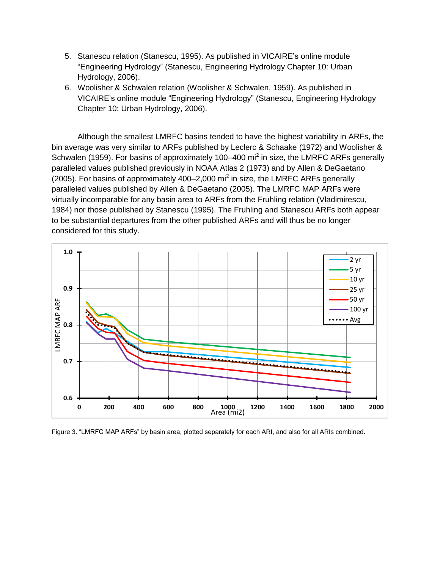- 5. Stanescu relation (Stanescu, 1995). As published in VICAIRE's online module "Engineering Hydrology" (Stanescu, Engineering Hydrology Chapter 10: Urban Hydrology, 2006).
- 6. Woolisher & Schwalen relation (Woolisher & Schwalen, 1959). As published in VICAIRE's online module "Engineering Hydrology" (Stanescu, Engineering Hydrology Chapter 10: Urban Hydrology, 2006).

Although the smallest LMRFC basins tended to have the highest variability in ARFs, the bin average was very similar to ARFs published by Leclerc & Schaake (1972) and Woolisher & Schwalen (1959). For basins of approximately 100–400 mi<sup>2</sup> in size, the LMRFC ARFs generally paralleled values published previously in NOAA Atlas 2 (1973) and by Allen & DeGaetano  $(2005)$ . For basins of approximately 400–2,000 mi<sup>2</sup> in size, the LMRFC ARFs generally paralleled values published by Allen & DeGaetano (2005). The LMRFC MAP ARFs were virtually incomparable for any basin area to ARFs from the Fruhling relation (Vladimirescu, 1984) nor those published by Stanescu (1995). The Fruhling and Stanescu ARFs both appear to be substantial departures from the other published ARFs and will thus be no longer considered for this study.



<span id="page-5-0"></span>Figure 3. "LMRFC MAP ARFs" by basin area, plotted separately for each ARI, and also for all ARIs combined.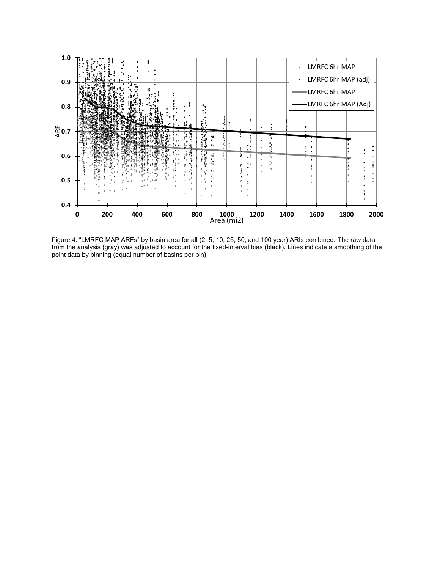

<span id="page-6-0"></span>Figure 4. "LMRFC MAP ARFs" by basin area for all (2, 5, 10, 25, 50, and 100 year) ARIs combined. The raw data from the analysis (gray) was adjusted to account for the fixed-interval bias (black). Lines indicate a smoothing of the point data by binning (equal number of basins per bin).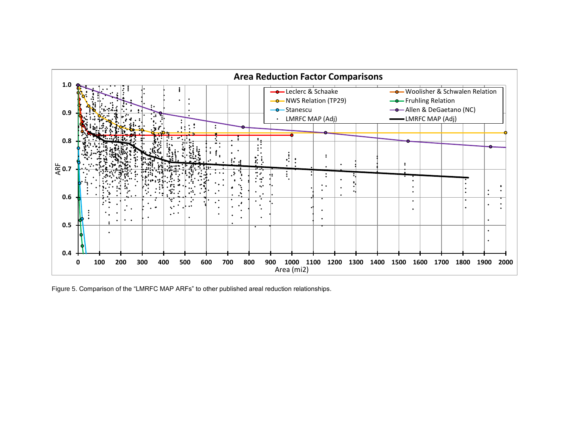

<span id="page-7-0"></span>Figure 5. Comparison of the "LMRFC MAP ARFs" to other published areal reduction relationships.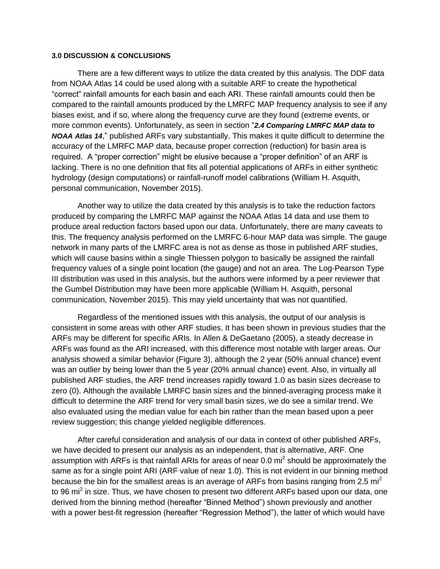#### **3.0 DISCUSSION & CONCLUSIONS**

There are a few different ways to utilize the data created by this analysis. The DDF data from NOAA Atlas 14 could be used along with a suitable ARF to create the hypothetical "correct" rainfall amounts for each basin and each ARI. These rainfall amounts could then be compared to the rainfall amounts produced by the LMRFC MAP frequency analysis to see if any biases exist, and if so, where along the frequency curve are they found (extreme events, or more common events). Unfortunately, as seen in section "*2.4 Comparing [LMRFC MAP data to](#page-4-0)  [NOAA Atlas 14](#page-4-0)*," published ARFs vary substantially. This makes it quite difficult to determine the accuracy of the LMRFC MAP data, because proper correction (reduction) for basin area is required. A "proper correction" might be elusive because a "proper definition" of an ARF is lacking. There is no one definition that fits all potential applications of ARFs in either synthetic hydrology (design computations) or rainfall-runoff model calibrations (William H. Asquith, personal communication, November 2015).

Another way to utilize the data created by this analysis is to take the reduction factors produced by comparing the LMRFC MAP against the NOAA Atlas 14 data and use them to produce areal reduction factors based upon our data. Unfortunately, there are many caveats to this. The frequency analysis performed on the LMRFC 6-hour MAP data was simple. The gauge network in many parts of the LMRFC area is not as dense as those in published ARF studies, which will cause basins within a single Thiessen polygon to basically be assigned the rainfall frequency values of a single point location (the gauge) and not an area. The Log-Pearson Type III distribution was used in this analysis, but the authors were informed by a peer reviewer that the Gumbel Distribution may have been more applicable (William H. Asquith, personal communication, November 2015). This may yield uncertainty that was not quantified.

Regardless of the mentioned issues with this analysis, the output of our analysis is consistent in some areas with other ARF studies. It has been shown in previous studies that the ARFs may be different for specific ARIs. In Allen & DeGaetano (2005), a steady decrease in ARFs was found as the ARI increased, with this difference most notable with larger areas. Our analysis showed a similar behavior [\(Figure 3\)](#page-5-0), although the 2 year (50% annual chance) event was an outlier by being lower than the 5 year (20% annual chance) event. Also, in virtually all published ARF studies, the ARF trend increases rapidly toward 1.0 as basin sizes decrease to zero (0). Although the available LMRFC basin sizes and the binned-averaging process make it difficult to determine the ARF trend for very small basin sizes, we do see a similar trend. We also evaluated using the median value for each bin rather than the mean based upon a peer review suggestion; this change yielded negligible differences.

After careful consideration and analysis of our data in context of other published ARFs, we have decided to present our analysis as an independent, that is alternative, ARF. One assumption with ARFs is that rainfall ARIs for areas of near 0.0 mi<sup>2</sup> should be approximately the same as for a single point ARI (ARF value of near 1.0). This is not evident in our binning method because the bin for the smallest areas is an average of ARFs from basins ranging from 2.5  $\text{mi}^2$ to 96 mi<sup>2</sup> in size. Thus, we have chosen to present two different ARFs based upon our data, one derived from the binning method (hereafter "Binned Method") shown previously and another with a power best-fit regression (hereafter "Regression Method"), the latter of which would have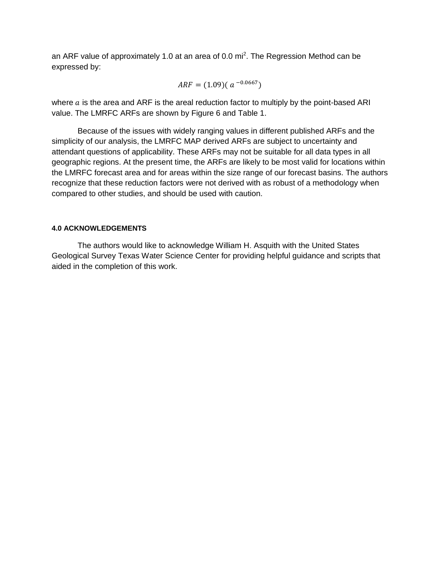an ARF value of approximately 1.0 at an area of 0.0 mi<sup>2</sup>. The Regression Method can be expressed by:

$$
ARF = (1.09)(a^{-0.0667})
$$

where  $a$  is the area and ARF is the areal reduction factor to multiply by the point-based ARI value. The LMRFC ARFs are shown by [Figure 6](#page-10-0) and [Table 1.](#page-10-1)

Because of the issues with widely ranging values in different published ARFs and the simplicity of our analysis, the LMRFC MAP derived ARFs are subject to uncertainty and attendant questions of applicability. These ARFs may not be suitable for all data types in all geographic regions. At the present time, the ARFs are likely to be most valid for locations within the LMRFC forecast area and for areas within the size range of our forecast basins. The authors recognize that these reduction factors were not derived with as robust of a methodology when compared to other studies, and should be used with caution.

## **4.0 ACKNOWLEDGEMENTS**

The authors would like to acknowledge William H. Asquith with the United States Geological Survey Texas Water Science Center for providing helpful guidance and scripts that aided in the completion of this work.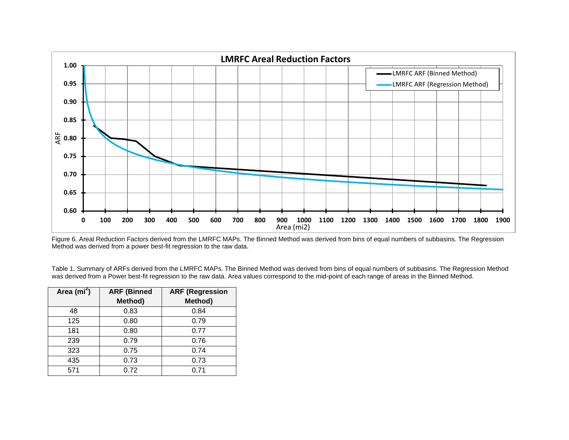

Figure 6. Areal Reduction Factors derived from the LMRFC MAPs. The Binned Method was derived from bins of equal numbers of subbasins. The Regression Method was derived from a power best-fit regression to the raw data.

Table 1. Summary of ARFs derived from the LMRFC MAPs. The Binned Method was derived from bins of equal numbers of subbasins. The Regression Method was derived from a Power best-fit regression to the raw data. Area values correspond to the mid-point of each range of areas in the Binned Method.

<span id="page-10-1"></span><span id="page-10-0"></span>

| Area ( $mi^2$ ) | <b>ARF (Binned</b> | <b>ARF (Regression</b> |
|-----------------|--------------------|------------------------|
|                 | Method)            | Method)                |
| 48              | 0.83               | 0.84                   |
| 125             | 0.80               | 0.79                   |
| 181             | 0.80               | 0.77                   |
| 239             | 0.79               | 0.76                   |
| 323             | 0.75               | 0.74                   |
| 435             | 0.73               | 0.73                   |
| 571             | 0.72               | 0.71                   |